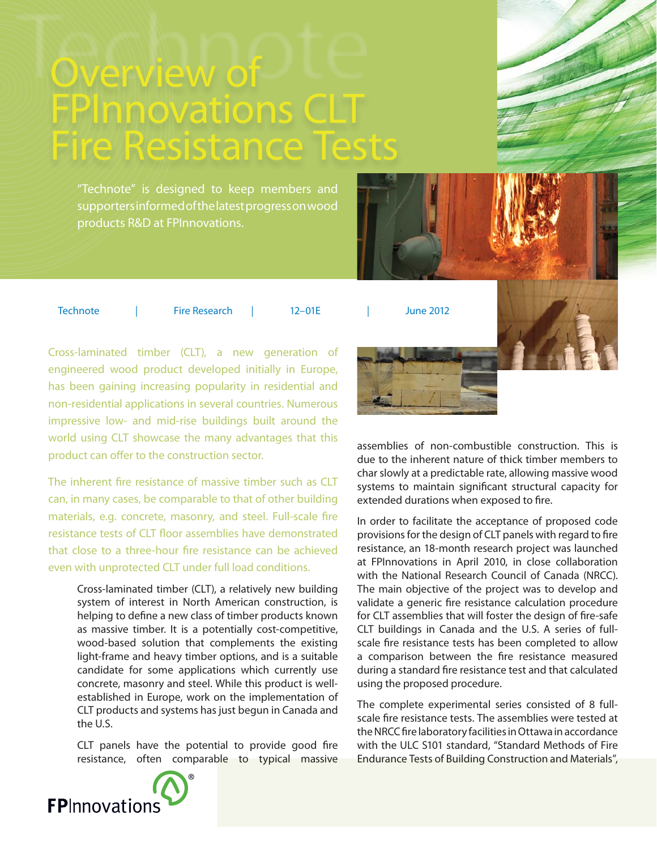# Overview of FPInmovations CLT Fire Resistance Tests

"Technote" is designed to keep members and supporters informed of the latest progress on wood products R&D at FPInnovations.



Technote | Fire Research | 12–01E | June 2012

Cross-laminated timber (CLT), a new generation of engineered wood product developed initially in Europe, has been gaining increasing popularity in residential and non-residential applications in several countries. Numerous impressive low- and mid-rise buildings built around the world using CLT showcase the many advantages that this product can offer to the construction sector.

The inherent fire resistance of massive timber such as CLT can, in many cases, be comparable to that of other building materials, e.g. concrete, masonry, and steel. Full-scale fire resistance tests of CLT floor assemblies have demonstrated that close to a three-hour fire resistance can be achieved even with unprotected CLT under full load conditions.

Cross-laminated timber (CLT), a relatively new building system of interest in North American construction, is helping to define a new class of timber products known as massive timber. It is a potentially cost-competitive, wood-based solution that complements the existing light-frame and heavy timber options, and is a suitable candidate for some applications which currently use concrete, masonry and steel. While this product is wellestablished in Europe, work on the implementation of CLT products and systems has just begun in Canada and the U.S.

CLT panels have the potential to provide good fire resistance, often comparable to typical massive



assemblies of non-combustible construction. This is due to the inherent nature of thick timber members to char slowly at a predictable rate, allowing massive wood systems to maintain significant structural capacity for extended durations when exposed to fire.

In order to facilitate the acceptance of proposed code provisions for the design of CLT panels with regard to fire resistance, an 18-month research project was launched at FPInnovations in April 2010, in close collaboration with the National Research Council of Canada (NRCC). The main objective of the project was to develop and validate a generic fire resistance calculation procedure for CLT assemblies that will foster the design of fire-safe CLT buildings in Canada and the U.S. A series of fullscale fire resistance tests has been completed to allow a comparison between the fire resistance measured during a standard fire resistance test and that calculated using the proposed procedure.

The complete experimental series consisted of 8 fullscale fire resistance tests. The assemblies were tested at the NRCC fire laboratory facilities in Ottawa in accordance with the ULC S101 standard, "Standard Methods of Fire Endurance Tests of Building Construction and Materials",